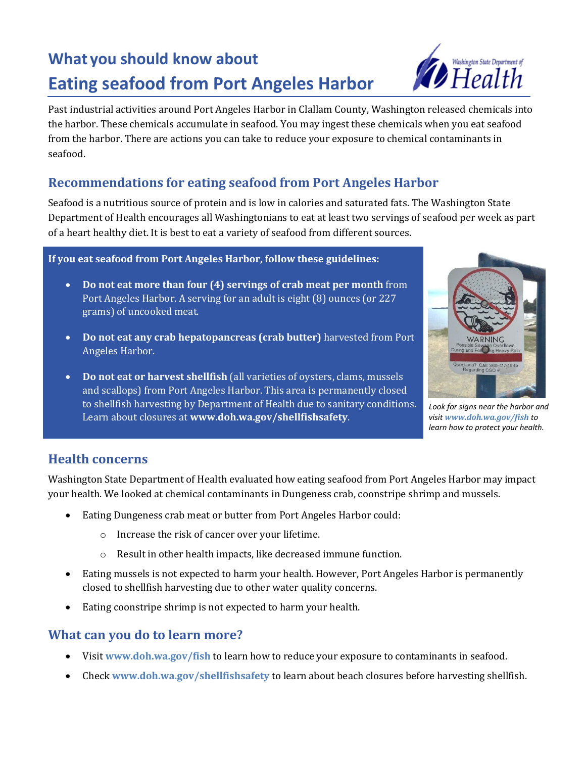# **What you should know about Eating seafood from Port Angeles Harbor**



Past industrial activities around Port Angeles Harbor in Clallam County, Washington released chemicals into the harbor. These chemicals accumulate in seafood. You may ingest these chemicals when you eat seafood from the harbor. There are actions you can take to reduce your exposure to chemical contaminants in seafood.

### **Recommendations for eating seafood from Port Angeles Harbor**

Seafood is a nutritious source of protein and is low in calories and saturated fats. The Washington State Department of Health encourages all Washingtonians to eat at least two servings of seafood per week as part of a heart healthy diet. It is best to eat a variety of seafood from different sources.

#### **If you eat seafood from Port Angeles Harbor, follow these guidelines:**

- **Do not eat more than four (4) servings of crab meat per month** from Port Angeles Harbor. A serving for an adult is eight (8) ounces (or 227 grams) of uncooked meat.
- **Do not eat any crab hepatopancreas (crab butter)** harvested from Port Angeles Harbor.
- **Do not eat or harvest shellfish** (all varieties of oysters, clams, mussels and scallops) from Port Angeles Harbor. This area is permanently closed to shellfish harvesting by Department of Health due to sanitary conditions. Learn about closures at **www.doh.wa.gov/shellfishsafety**.



*Look for signs near the harbor and visit [www.doh.wa.gov/fish](http://www.doh.wa.gov/fish) to learn how to protect your health.*

#### **Health concerns**

Washington State Department of Health evaluated how eating seafood from Port Angeles Harbor may impact your health. We looked at chemical contaminants in Dungeness crab, coonstripe shrimp and mussels.

- Eating Dungeness crab meat or butter from Port Angeles Harbor could:
	- o Increase the risk of cancer over your lifetime.
	- o Result in other health impacts, like decreased immune function.
- Eating mussels is not expected to harm your health. However, Port Angeles Harbor is permanently closed to shellfish harvesting due to other water quality concerns.
- Eating coonstripe shrimp is not expected to harm your health.

#### **What can you do to learn more?**

- Visit **[www.doh.wa.gov/fish](http://www.doh.wa.gov/fish)** to learn how to reduce your exposure to contaminants in seafood.
- Check **[www.doh.wa.gov/shellfishsafety](http://www.doh.wa.gov/shellfishsafety)** to learn about beach closures before harvesting shellfish.